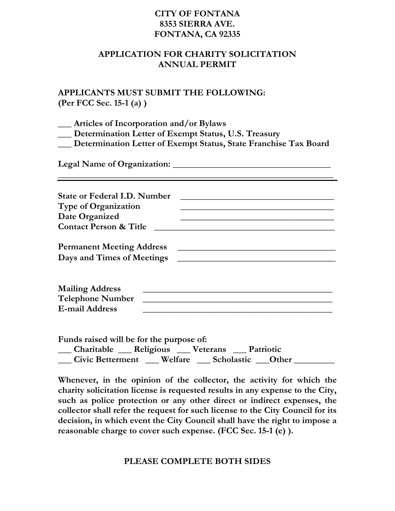### **CITY OF FONTANA 8353 SIERRA AVE. FONTANA, CA 92335**

#### **APPLICATION FOR CHARITY SOLICITATION ANNUAL PERMIT**

## **APPLICANTS MUST SUBMIT THE FOLLOWING: (Per FCC Sec. 15-1 (a) )**

**\_\_\_ Articles of Incorporation and/or Bylaws** 

**\_\_\_ Determination Letter of Exempt Status, U.S. Treasury** 

**\_\_\_ Determination Letter of Exempt Status, State Franchise Tax Board** 

**\_\_\_\_\_\_\_\_\_\_\_\_\_\_\_\_\_\_\_\_\_\_\_\_\_\_\_\_\_\_\_\_\_\_\_\_\_\_\_\_\_\_\_\_\_\_\_\_\_\_\_\_\_\_\_\_\_\_\_\_\_** 

**Legal Name of Organization: \_\_\_\_\_\_\_\_\_\_\_\_\_\_\_\_\_\_\_\_\_\_\_\_\_\_\_\_\_\_\_\_\_\_\_** 

| <b>State or Federal I.D. Number</b><br><b>Type of Organization</b> |  |
|--------------------------------------------------------------------|--|
| Date Organized                                                     |  |
| <b>Contact Person &amp; Title</b>                                  |  |
| <b>Permanent Meeting Address</b><br>Days and Times of Meetings     |  |

| <b>Mailing Address</b>  |  |
|-------------------------|--|
| <b>Telephone Number</b> |  |
| <b>E-mail Address</b>   |  |

**Funds raised will be for the purpose of: \_\_\_ Charitable \_\_\_ Religious \_\_\_ Veterans \_\_\_ Patriotic \_\_\_ Civic Betterment \_\_\_ Welfare \_\_\_ Scholastic \_\_\_Other \_\_\_\_\_\_\_\_\_** 

**Whenever, in the opinion of the collector, the activity for which the charity solicitation license is requested results in any expense to the City, such as police protection or any other direct or indirect expenses, the collector shall refer the request for such license to the City Council for its decision, in which event the City Council shall have the right to impose a reasonable charge to cover such expense. (FCC Sec. 15-1 (e) ).** 

### **PLEASE COMPLETE BOTH SIDES**